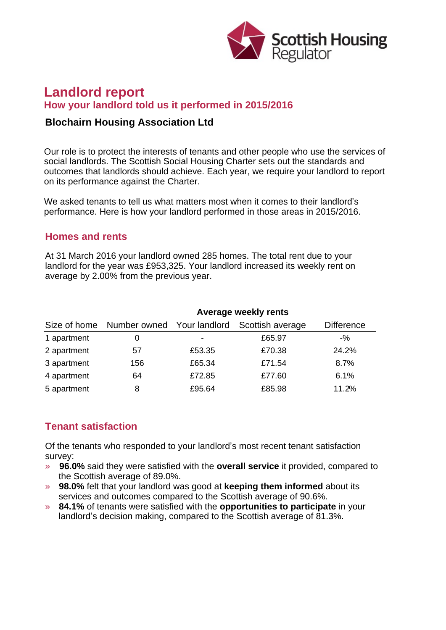

# **Landlord report How your landlord told us it performed in 2015/2016**

#### **Blochairn Housing Association Ltd**

Our role is to protect the interests of tenants and other people who use the services of social landlords. The Scottish Social Housing Charter sets out the standards and outcomes that landlords should achieve. Each year, we require your landlord to report on its performance against the Charter.

We asked tenants to tell us what matters most when it comes to their landlord's performance. Here is how your landlord performed in those areas in 2015/2016.

#### **Homes and rents**

At 31 March 2016 your landlord owned 285 homes. The total rent due to your landlord for the year was £953,325. Your landlord increased its weekly rent on average by 2.00% from the previous year.

|             | Average weekly rents                    |                          |                  |                   |
|-------------|-----------------------------------------|--------------------------|------------------|-------------------|
|             | Size of home Number owned Your landlord |                          | Scottish average | <b>Difference</b> |
| 1 apartment |                                         | $\overline{\phantom{0}}$ | £65.97           | $-$ %             |
| 2 apartment | 57                                      | £53.35                   | £70.38           | 24.2%             |
| 3 apartment | 156                                     | £65.34                   | £71.54           | 8.7%              |
| 4 apartment | 64                                      | £72.85                   | £77.60           | 6.1%              |
| 5 apartment | 8                                       | £95.64                   | £85.98           | 11.2%             |

## **Tenant satisfaction**

Of the tenants who responded to your landlord's most recent tenant satisfaction survey:

- » **96.0%** said they were satisfied with the **overall service** it provided, compared to the Scottish average of 89.0%.
- » **98.0%** felt that your landlord was good at **keeping them informed** about its services and outcomes compared to the Scottish average of 90.6%.
- » **84.1%** of tenants were satisfied with the **opportunities to participate** in your landlord's decision making, compared to the Scottish average of 81.3%.